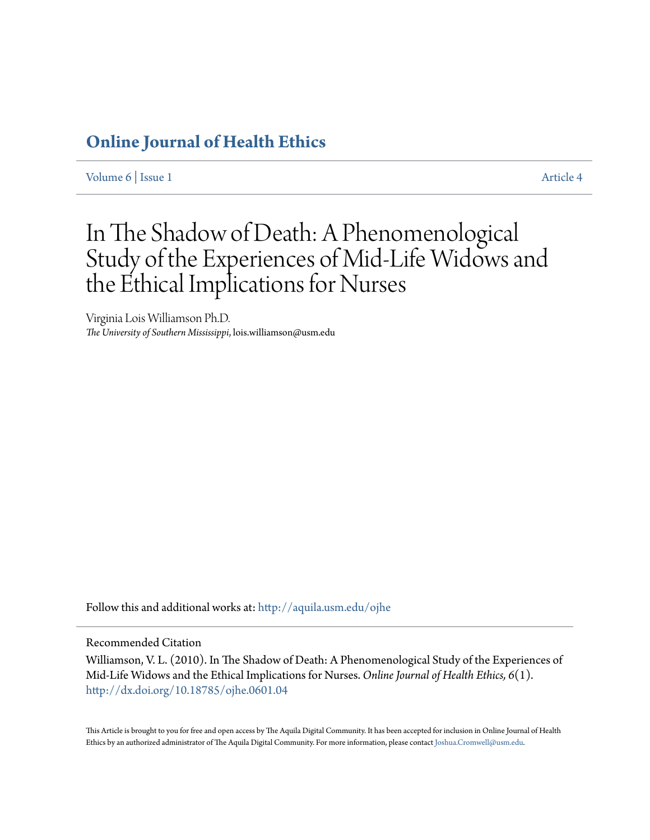### **[Online Journal of Health Ethics](http://aquila.usm.edu/ojhe?utm_source=aquila.usm.edu%2Fojhe%2Fvol6%2Fiss1%2F4&utm_medium=PDF&utm_campaign=PDFCoverPages)**

[Volume 6](http://aquila.usm.edu/ojhe/vol6?utm_source=aquila.usm.edu%2Fojhe%2Fvol6%2Fiss1%2F4&utm_medium=PDF&utm_campaign=PDFCoverPages) | [Issue 1](http://aquila.usm.edu/ojhe/vol6/iss1?utm_source=aquila.usm.edu%2Fojhe%2Fvol6%2Fiss1%2F4&utm_medium=PDF&utm_campaign=PDFCoverPages) [Article 4](http://aquila.usm.edu/ojhe/vol6/iss1/4?utm_source=aquila.usm.edu%2Fojhe%2Fvol6%2Fiss1%2F4&utm_medium=PDF&utm_campaign=PDFCoverPages)

## In The Shadow of Death: A Phenomenological Study of the Experiences of Mid-Life Widows and the Ethical Implications for Nurses

Virginia Lois Williamson Ph.D. *The University of Southern Mississippi*, lois.williamson@usm.edu

Follow this and additional works at: [http://aquila.usm.edu/ojhe](http://aquila.usm.edu/ojhe?utm_source=aquila.usm.edu%2Fojhe%2Fvol6%2Fiss1%2F4&utm_medium=PDF&utm_campaign=PDFCoverPages)

Recommended Citation

Williamson, V. L. (2010). In The Shadow of Death: A Phenomenological Study of the Experiences of Mid-Life Widows and the Ethical Implications for Nurses. *Online Journal of Health Ethics, 6*(1). <http://dx.doi.org/10.18785/ojhe.0601.04>

This Article is brought to you for free and open access by The Aquila Digital Community. It has been accepted for inclusion in Online Journal of Health Ethics by an authorized administrator of The Aquila Digital Community. For more information, please contact [Joshua.Cromwell@usm.edu.](mailto:Joshua.Cromwell@usm.edu)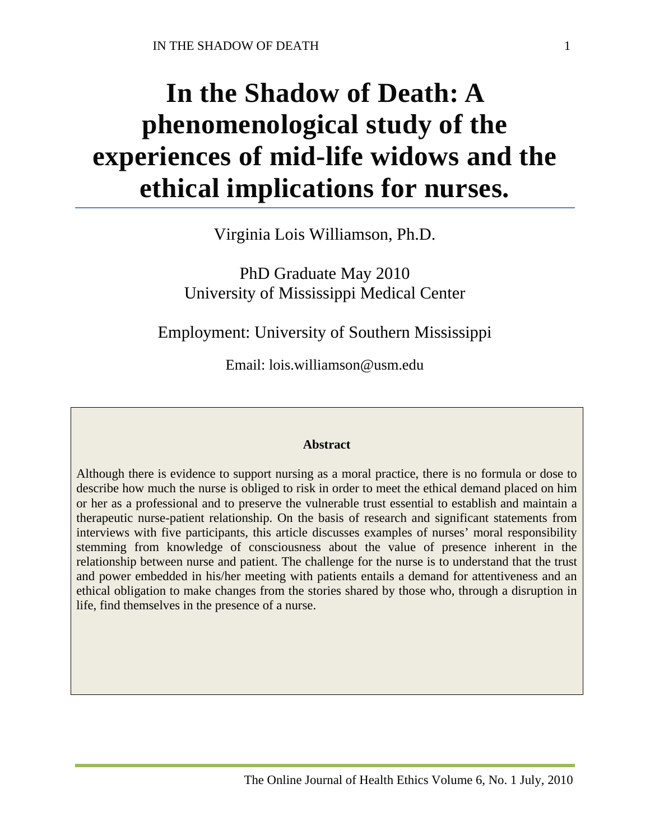# **In the Shadow of Death: A phenomenological study of the experiences of mid-life widows and the ethical implications for nurses.**

Virginia Lois Williamson, Ph.D.

PhD Graduate May 2010 University of Mississippi Medical Center

Employment: University of Southern Mississippi

Email: lois.williamson@usm.edu

#### **Abstract**

Although there is evidence to support nursing as a moral practice, there is no formula or dose to describe how much the nurse is obliged to risk in order to meet the ethical demand placed on him or her as a professional and to preserve the vulnerable trust essential to establish and maintain a therapeutic nurse-patient relationship. On the basis of research and significant statements from interviews with five participants, this article discusses examples of nurses' moral responsibility stemming from knowledge of consciousness about the value of presence inherent in the relationship between nurse and patient. The challenge for the nurse is to understand that the trust and power embedded in his/her meeting with patients entails a demand for attentiveness and an ethical obligation to make changes from the stories shared by those who, through a disruption in life, find themselves in the presence of a nurse.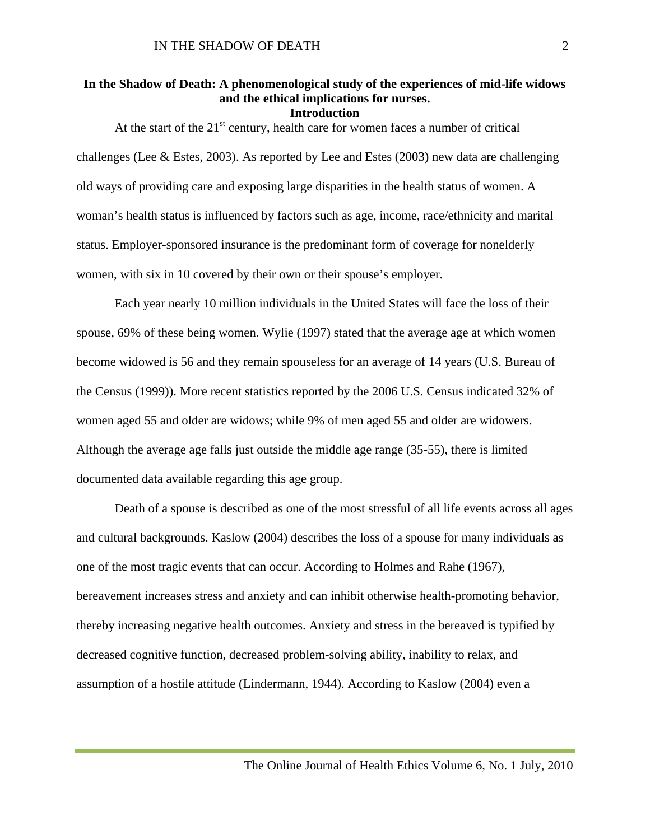#### **In the Shadow of Death: A phenomenological study of the experiences of mid-life widows and the ethical implications for nurses.**

#### **Introduction**

At the start of the  $21<sup>st</sup>$  century, health care for women faces a number of critical challenges (Lee & Estes, 2003). As reported by Lee and Estes (2003) new data are challenging old ways of providing care and exposing large disparities in the health status of women. A woman's health status is influenced by factors such as age, income, race/ethnicity and marital status. Employer-sponsored insurance is the predominant form of coverage for nonelderly women, with six in 10 covered by their own or their spouse's employer.

Each year nearly 10 million individuals in the United States will face the loss of their spouse, 69% of these being women. Wylie (1997) stated that the average age at which women become widowed is 56 and they remain spouseless for an average of 14 years (U.S. Bureau of the Census (1999)). More recent statistics reported by the 2006 U.S. Census indicated 32% of women aged 55 and older are widows; while 9% of men aged 55 and older are widowers. Although the average age falls just outside the middle age range (35-55), there is limited documented data available regarding this age group.

Death of a spouse is described as one of the most stressful of all life events across all ages and cultural backgrounds. Kaslow (2004) describes the loss of a spouse for many individuals as one of the most tragic events that can occur. According to Holmes and Rahe (1967), bereavement increases stress and anxiety and can inhibit otherwise health-promoting behavior, thereby increasing negative health outcomes. Anxiety and stress in the bereaved is typified by decreased cognitive function, decreased problem-solving ability, inability to relax, and assumption of a hostile attitude (Lindermann, 1944). According to Kaslow (2004) even a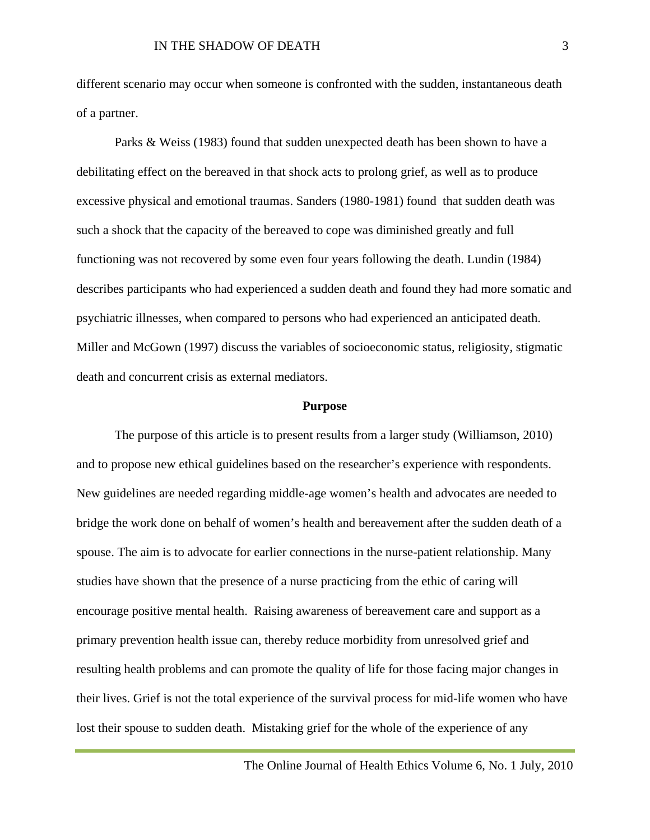different scenario may occur when someone is confronted with the sudden, instantaneous death of a partner.

Parks & Weiss (1983) found that sudden unexpected death has been shown to have a debilitating effect on the bereaved in that shock acts to prolong grief, as well as to produce excessive physical and emotional traumas. Sanders (1980-1981) found that sudden death was such a shock that the capacity of the bereaved to cope was diminished greatly and full functioning was not recovered by some even four years following the death. Lundin (1984) describes participants who had experienced a sudden death and found they had more somatic and psychiatric illnesses, when compared to persons who had experienced an anticipated death. Miller and McGown (1997) discuss the variables of socioeconomic status, religiosity, stigmatic death and concurrent crisis as external mediators.

#### **Purpose**

The purpose of this article is to present results from a larger study (Williamson, 2010) and to propose new ethical guidelines based on the researcher's experience with respondents. New guidelines are needed regarding middle-age women's health and advocates are needed to bridge the work done on behalf of women's health and bereavement after the sudden death of a spouse. The aim is to advocate for earlier connections in the nurse-patient relationship. Many studies have shown that the presence of a nurse practicing from the ethic of caring will encourage positive mental health. Raising awareness of bereavement care and support as a primary prevention health issue can, thereby reduce morbidity from unresolved grief and resulting health problems and can promote the quality of life for those facing major changes in their lives. Grief is not the total experience of the survival process for mid-life women who have lost their spouse to sudden death. Mistaking grief for the whole of the experience of any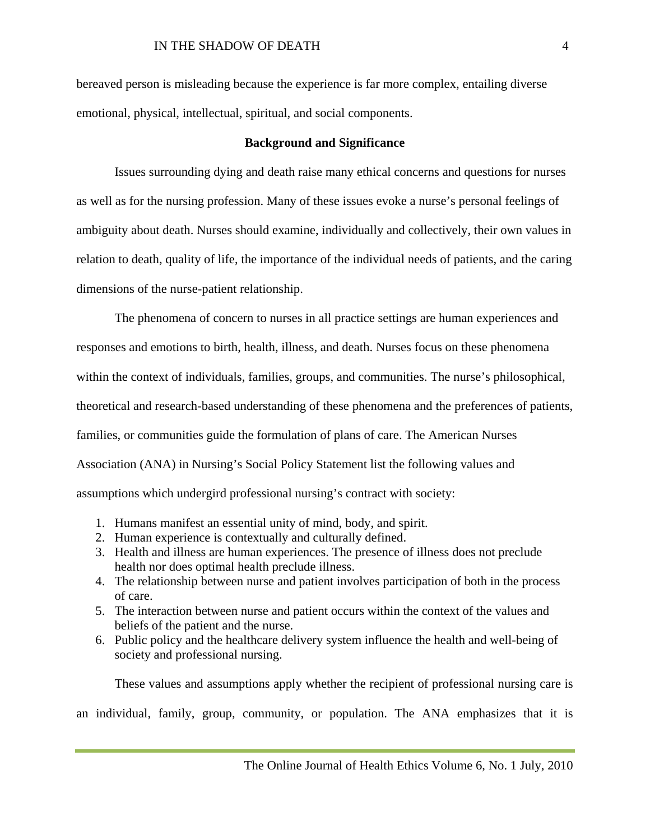bereaved person is misleading because the experience is far more complex, entailing diverse emotional, physical, intellectual, spiritual, and social components.

#### **Background and Significance**

Issues surrounding dying and death raise many ethical concerns and questions for nurses as well as for the nursing profession. Many of these issues evoke a nurse's personal feelings of ambiguity about death. Nurses should examine, individually and collectively, their own values in relation to death, quality of life, the importance of the individual needs of patients, and the caring dimensions of the nurse-patient relationship.

The phenomena of concern to nurses in all practice settings are human experiences and responses and emotions to birth, health, illness, and death. Nurses focus on these phenomena within the context of individuals, families, groups, and communities. The nurse's philosophical, theoretical and research-based understanding of these phenomena and the preferences of patients, families, or communities guide the formulation of plans of care. The American Nurses Association (ANA) in Nursing's Social Policy Statement list the following values and assumptions which undergird professional nursing's contract with society:

- 1. Humans manifest an essential unity of mind, body, and spirit.
- 2. Human experience is contextually and culturally defined.
- 3. Health and illness are human experiences. The presence of illness does not preclude health nor does optimal health preclude illness.
- 4. The relationship between nurse and patient involves participation of both in the process of care.
- 5. The interaction between nurse and patient occurs within the context of the values and beliefs of the patient and the nurse.
- 6. Public policy and the healthcare delivery system influence the health and well-being of society and professional nursing.

These values and assumptions apply whether the recipient of professional nursing care is

an individual, family, group, community, or population. The ANA emphasizes that it is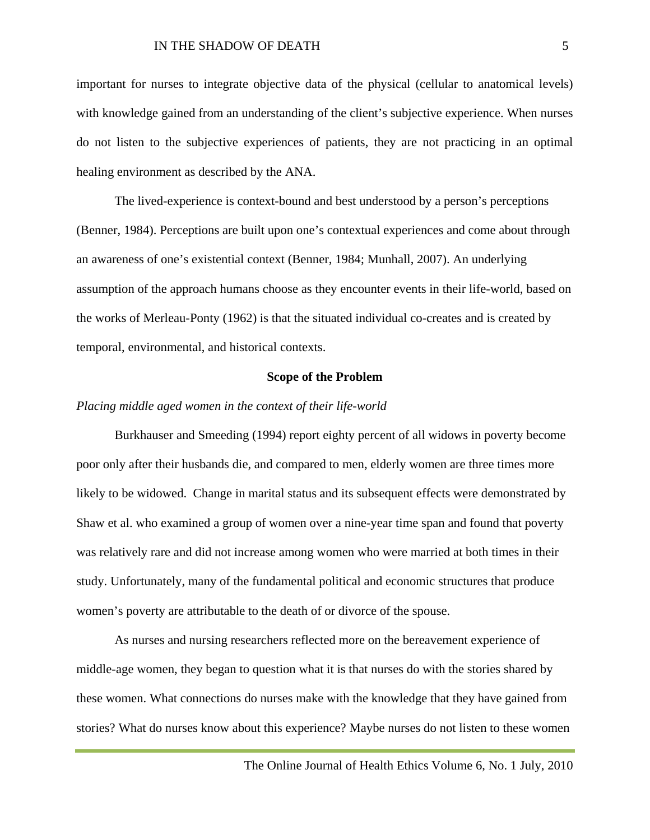important for nurses to integrate objective data of the physical (cellular to anatomical levels) with knowledge gained from an understanding of the client's subjective experience. When nurses do not listen to the subjective experiences of patients, they are not practicing in an optimal healing environment as described by the ANA.

The lived-experience is context-bound and best understood by a person's perceptions (Benner, 1984). Perceptions are built upon one's contextual experiences and come about through an awareness of one's existential context (Benner, 1984; Munhall, 2007). An underlying assumption of the approach humans choose as they encounter events in their life-world, based on the works of Merleau-Ponty (1962) is that the situated individual co-creates and is created by temporal, environmental, and historical contexts.

#### **Scope of the Problem**

#### *Placing middle aged women in the context of their life-world*

Burkhauser and Smeeding (1994) report eighty percent of all widows in poverty become poor only after their husbands die, and compared to men, elderly women are three times more likely to be widowed. Change in marital status and its subsequent effects were demonstrated by Shaw et al. who examined a group of women over a nine-year time span and found that poverty was relatively rare and did not increase among women who were married at both times in their study. Unfortunately, many of the fundamental political and economic structures that produce women's poverty are attributable to the death of or divorce of the spouse.

As nurses and nursing researchers reflected more on the bereavement experience of middle-age women, they began to question what it is that nurses do with the stories shared by these women. What connections do nurses make with the knowledge that they have gained from stories? What do nurses know about this experience? Maybe nurses do not listen to these women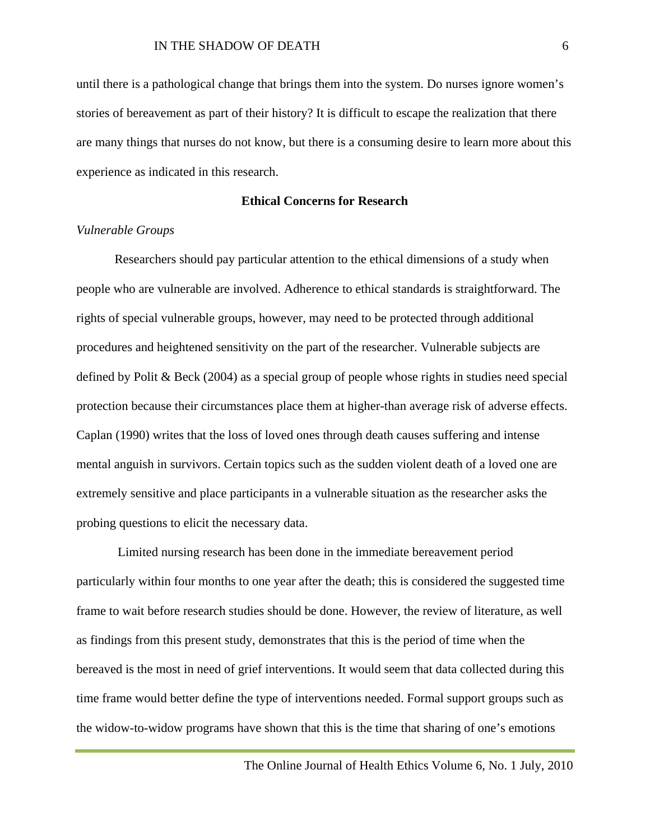until there is a pathological change that brings them into the system. Do nurses ignore women's stories of bereavement as part of their history? It is difficult to escape the realization that there are many things that nurses do not know, but there is a consuming desire to learn more about this experience as indicated in this research.

#### **Ethical Concerns for Research**

#### *Vulnerable Groups*

Researchers should pay particular attention to the ethical dimensions of a study when people who are vulnerable are involved. Adherence to ethical standards is straightforward. The rights of special vulnerable groups, however, may need to be protected through additional procedures and heightened sensitivity on the part of the researcher. Vulnerable subjects are defined by Polit & Beck (2004) as a special group of people whose rights in studies need special protection because their circumstances place them at higher-than average risk of adverse effects. Caplan (1990) writes that the loss of loved ones through death causes suffering and intense mental anguish in survivors. Certain topics such as the sudden violent death of a loved one are extremely sensitive and place participants in a vulnerable situation as the researcher asks the probing questions to elicit the necessary data.

Limited nursing research has been done in the immediate bereavement period particularly within four months to one year after the death; this is considered the suggested time frame to wait before research studies should be done. However, the review of literature, as well as findings from this present study, demonstrates that this is the period of time when the bereaved is the most in need of grief interventions. It would seem that data collected during this time frame would better define the type of interventions needed. Formal support groups such as the widow-to-widow programs have shown that this is the time that sharing of one's emotions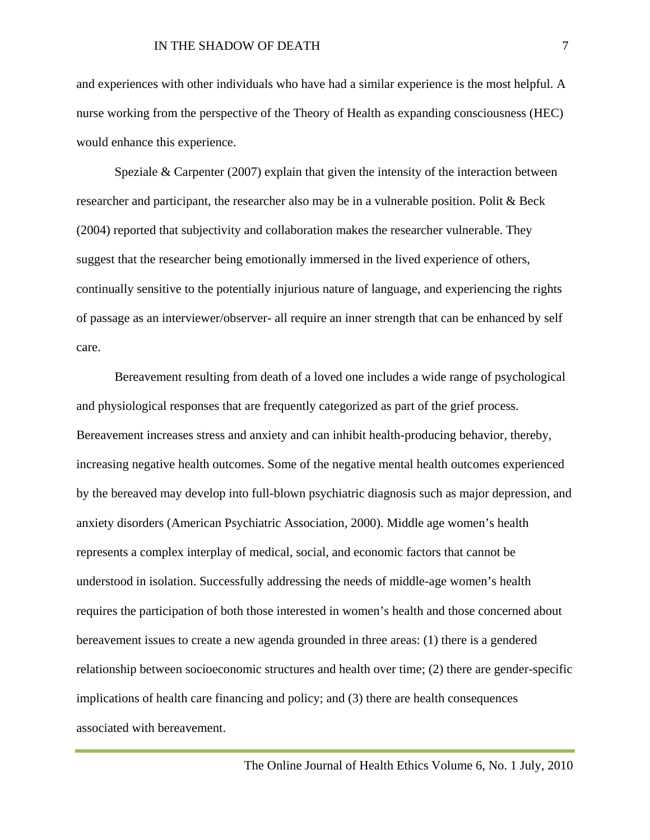and experiences with other individuals who have had a similar experience is the most helpful. A nurse working from the perspective of the Theory of Health as expanding consciousness (HEC) would enhance this experience.

Speziale & Carpenter (2007) explain that given the intensity of the interaction between researcher and participant, the researcher also may be in a vulnerable position. Polit & Beck (2004) reported that subjectivity and collaboration makes the researcher vulnerable. They suggest that the researcher being emotionally immersed in the lived experience of others, continually sensitive to the potentially injurious nature of language, and experiencing the rights of passage as an interviewer/observer- all require an inner strength that can be enhanced by self care.

Bereavement resulting from death of a loved one includes a wide range of psychological and physiological responses that are frequently categorized as part of the grief process. Bereavement increases stress and anxiety and can inhibit health-producing behavior, thereby, increasing negative health outcomes. Some of the negative mental health outcomes experienced by the bereaved may develop into full-blown psychiatric diagnosis such as major depression, and anxiety disorders (American Psychiatric Association, 2000). Middle age women's health represents a complex interplay of medical, social, and economic factors that cannot be understood in isolation. Successfully addressing the needs of middle-age women's health requires the participation of both those interested in women's health and those concerned about bereavement issues to create a new agenda grounded in three areas: (1) there is a gendered relationship between socioeconomic structures and health over time; (2) there are gender-specific implications of health care financing and policy; and (3) there are health consequences associated with bereavement.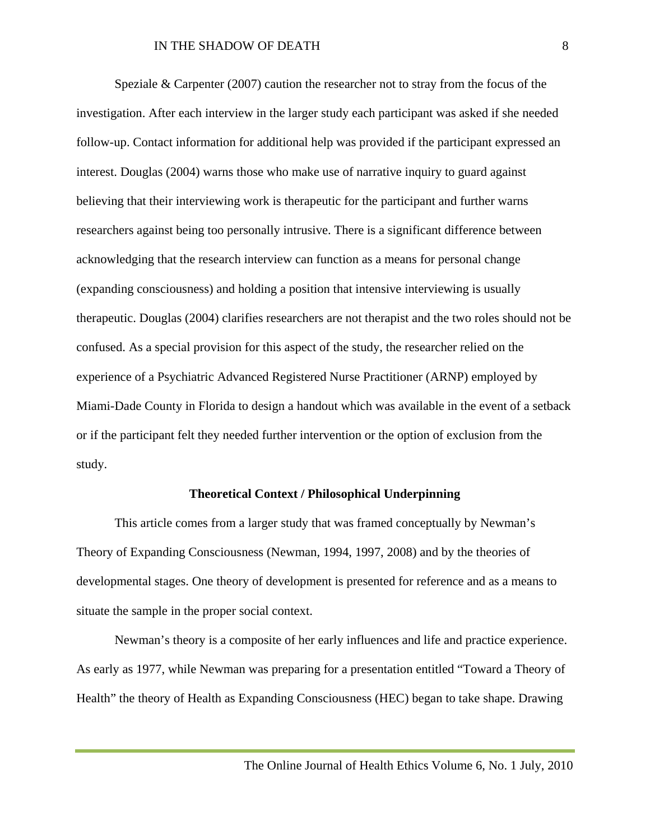Speziale & Carpenter (2007) caution the researcher not to stray from the focus of the investigation. After each interview in the larger study each participant was asked if she needed follow-up. Contact information for additional help was provided if the participant expressed an interest. Douglas (2004) warns those who make use of narrative inquiry to guard against believing that their interviewing work is therapeutic for the participant and further warns researchers against being too personally intrusive. There is a significant difference between acknowledging that the research interview can function as a means for personal change (expanding consciousness) and holding a position that intensive interviewing is usually therapeutic. Douglas (2004) clarifies researchers are not therapist and the two roles should not be confused. As a special provision for this aspect of the study, the researcher relied on the experience of a Psychiatric Advanced Registered Nurse Practitioner (ARNP) employed by Miami-Dade County in Florida to design a handout which was available in the event of a setback or if the participant felt they needed further intervention or the option of exclusion from the study.

#### **Theoretical Context / Philosophical Underpinning**

This article comes from a larger study that was framed conceptually by Newman's Theory of Expanding Consciousness (Newman, 1994, 1997, 2008) and by the theories of developmental stages. One theory of development is presented for reference and as a means to situate the sample in the proper social context.

Newman's theory is a composite of her early influences and life and practice experience. As early as 1977, while Newman was preparing for a presentation entitled "Toward a Theory of Health" the theory of Health as Expanding Consciousness (HEC) began to take shape. Drawing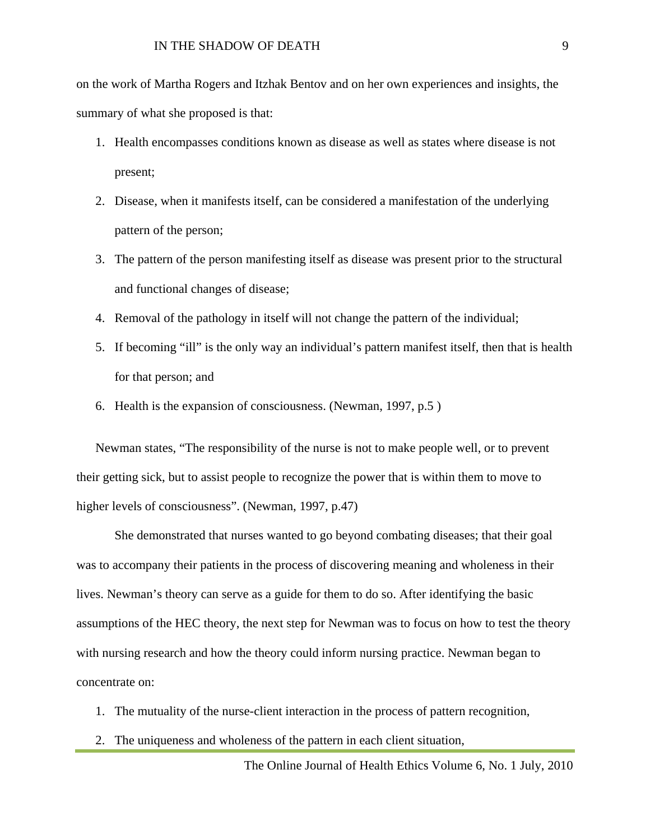on the work of Martha Rogers and Itzhak Bentov and on her own experiences and insights, the summary of what she proposed is that:

- 1. Health encompasses conditions known as disease as well as states where disease is not present;
- 2. Disease, when it manifests itself, can be considered a manifestation of the underlying pattern of the person;
- 3. The pattern of the person manifesting itself as disease was present prior to the structural and functional changes of disease;
- 4. Removal of the pathology in itself will not change the pattern of the individual;
- 5. If becoming "ill" is the only way an individual's pattern manifest itself, then that is health for that person; and
- 6. Health is the expansion of consciousness. (Newman, 1997, p.5 )

Newman states, "The responsibility of the nurse is not to make people well, or to prevent their getting sick, but to assist people to recognize the power that is within them to move to higher levels of consciousness". (Newman, 1997, p.47)

She demonstrated that nurses wanted to go beyond combating diseases; that their goal was to accompany their patients in the process of discovering meaning and wholeness in their lives. Newman's theory can serve as a guide for them to do so. After identifying the basic assumptions of the HEC theory, the next step for Newman was to focus on how to test the theory with nursing research and how the theory could inform nursing practice. Newman began to concentrate on:

- 1. The mutuality of the nurse-client interaction in the process of pattern recognition,
- 2. The uniqueness and wholeness of the pattern in each client situation,

The Online Journal of Health Ethics Volume 6, No. 1 July, 2010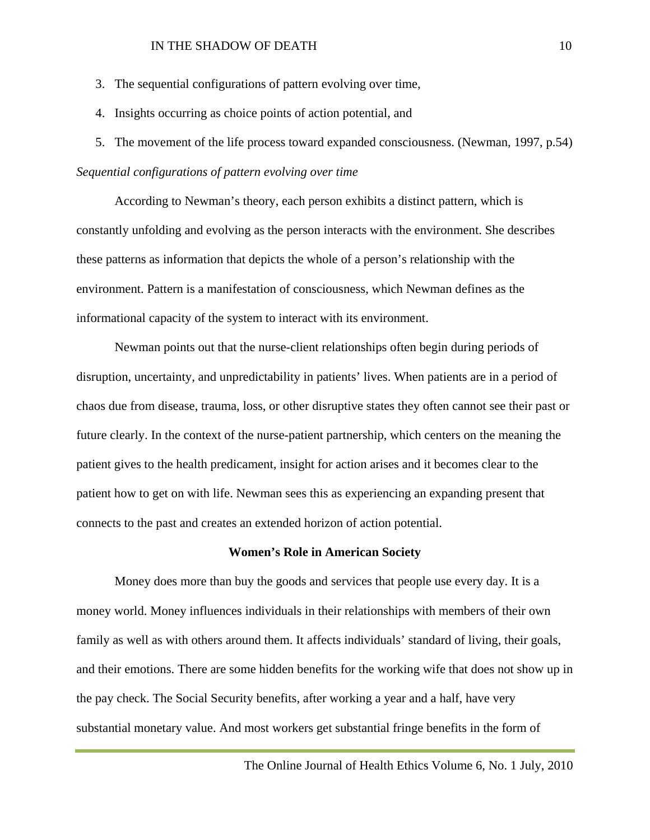#### IN THE SHADOW OF DEATH 10

- 3. The sequential configurations of pattern evolving over time,
- 4. Insights occurring as choice points of action potential, and
- 5. The movement of the life process toward expanded consciousness. (Newman, 1997, p.54)

#### *Sequential configurations of pattern evolving over time*

According to Newman's theory, each person exhibits a distinct pattern, which is constantly unfolding and evolving as the person interacts with the environment. She describes these patterns as information that depicts the whole of a person's relationship with the environment. Pattern is a manifestation of consciousness, which Newman defines as the informational capacity of the system to interact with its environment.

Newman points out that the nurse-client relationships often begin during periods of disruption, uncertainty, and unpredictability in patients' lives. When patients are in a period of chaos due from disease, trauma, loss, or other disruptive states they often cannot see their past or future clearly. In the context of the nurse-patient partnership, which centers on the meaning the patient gives to the health predicament, insight for action arises and it becomes clear to the patient how to get on with life. Newman sees this as experiencing an expanding present that connects to the past and creates an extended horizon of action potential.

#### **Women's Role in American Society**

Money does more than buy the goods and services that people use every day. It is a money world. Money influences individuals in their relationships with members of their own family as well as with others around them. It affects individuals' standard of living, their goals, and their emotions. There are some hidden benefits for the working wife that does not show up in the pay check. The Social Security benefits, after working a year and a half, have very substantial monetary value. And most workers get substantial fringe benefits in the form of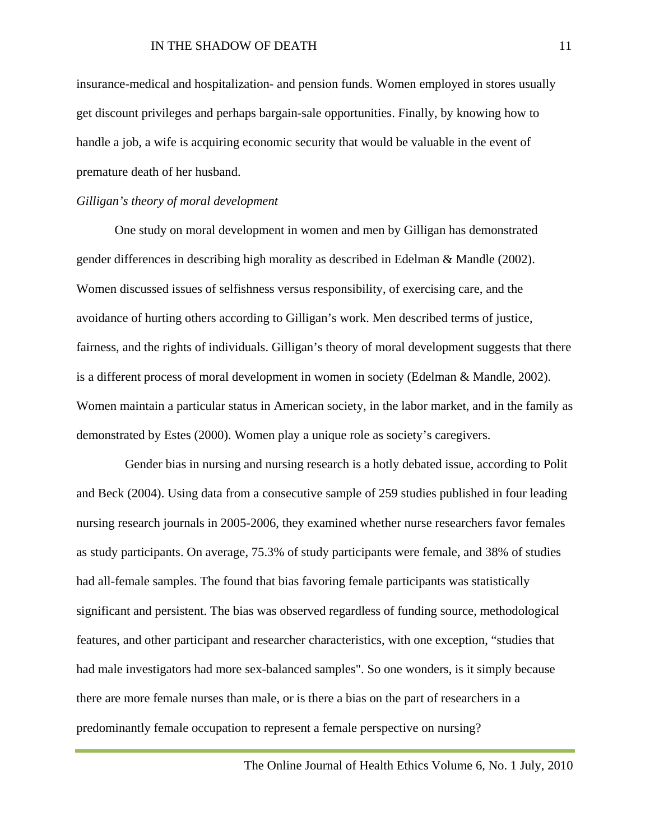insurance-medical and hospitalization- and pension funds. Women employed in stores usually get discount privileges and perhaps bargain-sale opportunities. Finally, by knowing how to handle a job, a wife is acquiring economic security that would be valuable in the event of premature death of her husband.

#### *Gilligan's theory of moral development*

One study on moral development in women and men by Gilligan has demonstrated gender differences in describing high morality as described in Edelman & Mandle (2002). Women discussed issues of selfishness versus responsibility, of exercising care, and the avoidance of hurting others according to Gilligan's work. Men described terms of justice, fairness, and the rights of individuals. Gilligan's theory of moral development suggests that there is a different process of moral development in women in society (Edelman & Mandle, 2002). Women maintain a particular status in American society, in the labor market, and in the family as demonstrated by Estes (2000). Women play a unique role as society's caregivers.

Gender bias in nursing and nursing research is a hotly debated issue, according to Polit and Beck (2004). Using data from a consecutive sample of 259 studies published in four leading nursing research journals in 2005-2006, they examined whether nurse researchers favor females as study participants. On average, 75.3% of study participants were female, and 38% of studies had all-female samples. The found that bias favoring female participants was statistically significant and persistent. The bias was observed regardless of funding source, methodological features, and other participant and researcher characteristics, with one exception, "studies that had male investigators had more sex-balanced samples". So one wonders, is it simply because there are more female nurses than male, or is there a bias on the part of researchers in a predominantly female occupation to represent a female perspective on nursing?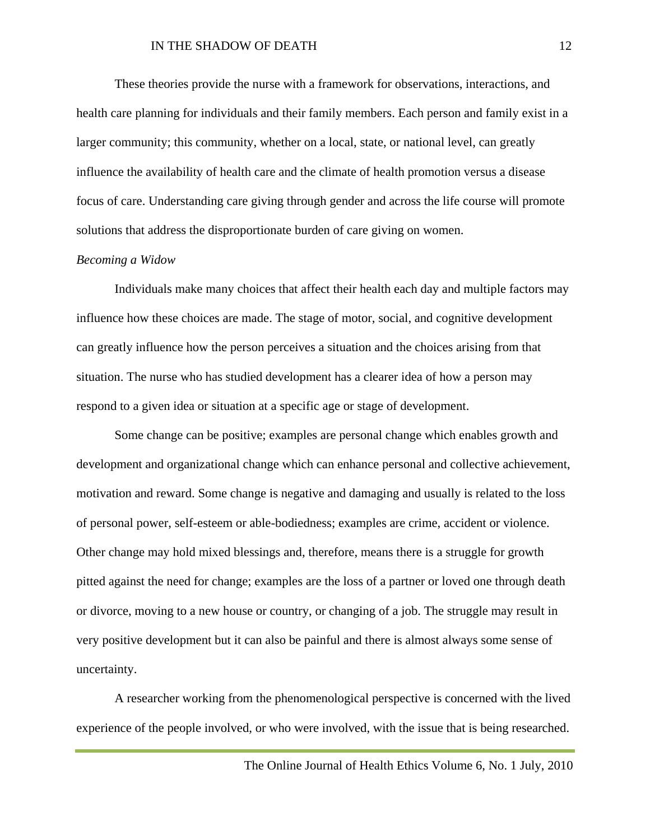#### IN THE SHADOW OF DEATH 12

These theories provide the nurse with a framework for observations, interactions, and health care planning for individuals and their family members. Each person and family exist in a larger community; this community, whether on a local, state, or national level, can greatly influence the availability of health care and the climate of health promotion versus a disease focus of care. Understanding care giving through gender and across the life course will promote solutions that address the disproportionate burden of care giving on women.

#### *Becoming a Widow*

Individuals make many choices that affect their health each day and multiple factors may influence how these choices are made. The stage of motor, social, and cognitive development can greatly influence how the person perceives a situation and the choices arising from that situation. The nurse who has studied development has a clearer idea of how a person may respond to a given idea or situation at a specific age or stage of development.

Some change can be positive; examples are personal change which enables growth and development and organizational change which can enhance personal and collective achievement, motivation and reward. Some change is negative and damaging and usually is related to the loss of personal power, self-esteem or able-bodiedness; examples are crime, accident or violence. Other change may hold mixed blessings and, therefore, means there is a struggle for growth pitted against the need for change; examples are the loss of a partner or loved one through death or divorce, moving to a new house or country, or changing of a job. The struggle may result in very positive development but it can also be painful and there is almost always some sense of uncertainty.

A researcher working from the phenomenological perspective is concerned with the lived experience of the people involved, or who were involved, with the issue that is being researched.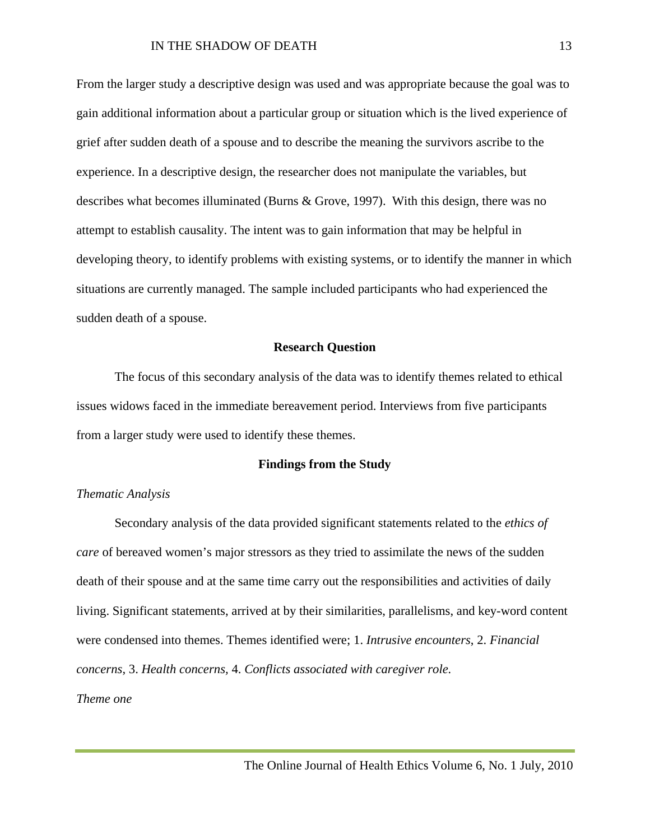From the larger study a descriptive design was used and was appropriate because the goal was to gain additional information about a particular group or situation which is the lived experience of grief after sudden death of a spouse and to describe the meaning the survivors ascribe to the experience. In a descriptive design, the researcher does not manipulate the variables, but describes what becomes illuminated (Burns & Grove, 1997). With this design, there was no attempt to establish causality. The intent was to gain information that may be helpful in developing theory, to identify problems with existing systems, or to identify the manner in which situations are currently managed. The sample included participants who had experienced the sudden death of a spouse.

#### **Research Question**

The focus of this secondary analysis of the data was to identify themes related to ethical issues widows faced in the immediate bereavement period. Interviews from five participants from a larger study were used to identify these themes.

#### **Findings from the Study**

#### *Thematic Analysis*

Secondary analysis of the data provided significant statements related to the *ethics of care* of bereaved women's major stressors as they tried to assimilate the news of the sudden death of their spouse and at the same time carry out the responsibilities and activities of daily living. Significant statements, arrived at by their similarities, parallelisms, and key-word content were condensed into themes. Themes identified were; 1. *Intrusive encounters*, 2. *Financial concerns*, 3. *Health concerns,* 4. *Conflicts associated with caregiver role.*

*Theme one*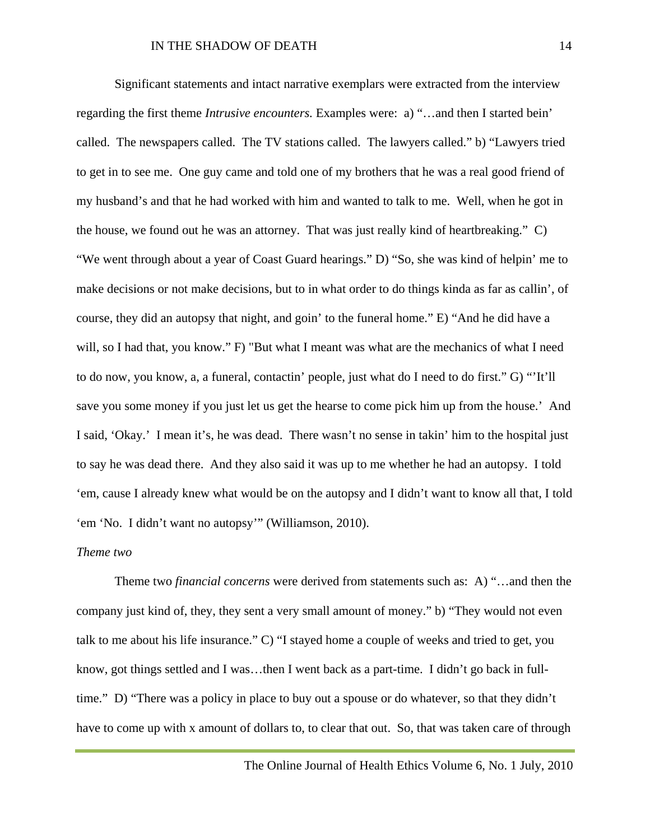Significant statements and intact narrative exemplars were extracted from the interview regarding the first theme *Intrusive encounters.* Examples were: a) "…and then I started bein' called. The newspapers called. The TV stations called. The lawyers called." b) "Lawyers tried to get in to see me. One guy came and told one of my brothers that he was a real good friend of my husband's and that he had worked with him and wanted to talk to me. Well, when he got in the house, we found out he was an attorney. That was just really kind of heartbreaking." C) "We went through about a year of Coast Guard hearings." D) "So, she was kind of helpin' me to make decisions or not make decisions, but to in what order to do things kinda as far as callin', of course, they did an autopsy that night, and goin' to the funeral home." E) "And he did have a will, so I had that, you know." F) "But what I meant was what are the mechanics of what I need to do now, you know, a, a funeral, contactin' people, just what do I need to do first." G) "'It'll save you some money if you just let us get the hearse to come pick him up from the house.' And I said, 'Okay.' I mean it's, he was dead. There wasn't no sense in takin' him to the hospital just to say he was dead there. And they also said it was up to me whether he had an autopsy. I told 'em, cause I already knew what would be on the autopsy and I didn't want to know all that, I told 'em 'No. I didn't want no autopsy'" (Williamson, 2010).

#### *Theme two*

Theme two *financial concerns* were derived from statements such as: A) "…and then the company just kind of, they, they sent a very small amount of money." b) "They would not even talk to me about his life insurance." C) "I stayed home a couple of weeks and tried to get, you know, got things settled and I was…then I went back as a part-time. I didn't go back in fulltime." D) "There was a policy in place to buy out a spouse or do whatever, so that they didn't have to come up with x amount of dollars to, to clear that out. So, that was taken care of through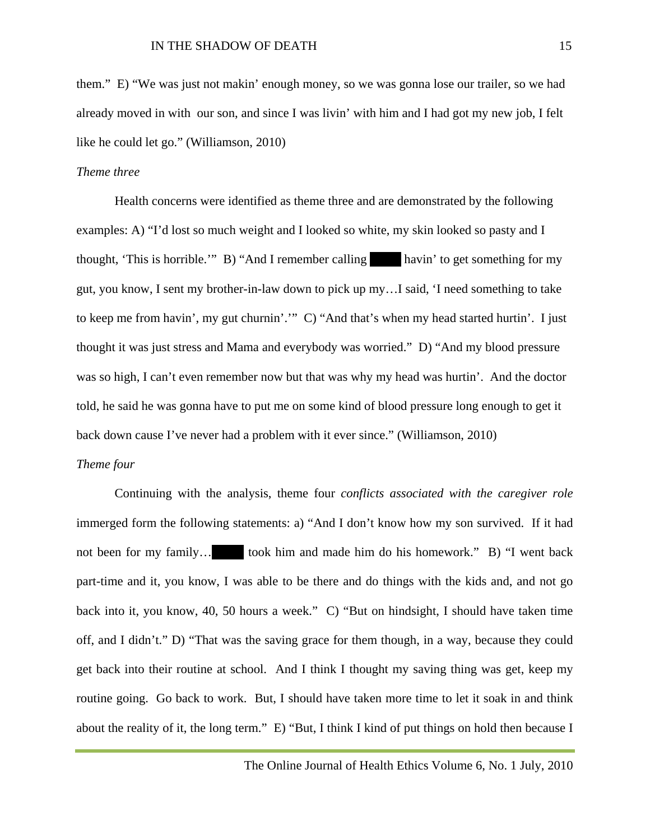them." E) "We was just not makin' enough money, so we was gonna lose our trailer, so we had already moved in with our son, and since I was livin' with him and I had got my new job, I felt like he could let go." (Williamson, 2010)

#### *Theme three*

Health concerns were identified as theme three and are demonstrated by the following examples: A) "I'd lost so much weight and I looked so white, my skin looked so pasty and I thought, 'This is horrible.'" B) "And I remember calling havin' to get something for my gut, you know, I sent my brother-in-law down to pick up my…I said, 'I need something to take to keep me from havin', my gut churnin'.'" C) "And that's when my head started hurtin'. I just thought it was just stress and Mama and everybody was worried." D) "And my blood pressure was so high, I can't even remember now but that was why my head was hurtin'. And the doctor told, he said he was gonna have to put me on some kind of blood pressure long enough to get it back down cause I've never had a problem with it ever since." (Williamson, 2010)

#### *Theme four*

Continuing with the analysis, theme four *conflicts associated with the caregiver role* immerged form the following statements: a) "And I don't know how my son survived. If it had not been for my family... took him and made him do his homework." B) "I went back part-time and it, you know, I was able to be there and do things with the kids and, and not go back into it, you know, 40, 50 hours a week." C) "But on hindsight, I should have taken time off, and I didn't." D) "That was the saving grace for them though, in a way, because they could get back into their routine at school. And I think I thought my saving thing was get, keep my routine going. Go back to work. But, I should have taken more time to let it soak in and think about the reality of it, the long term." E) "But, I think I kind of put things on hold then because I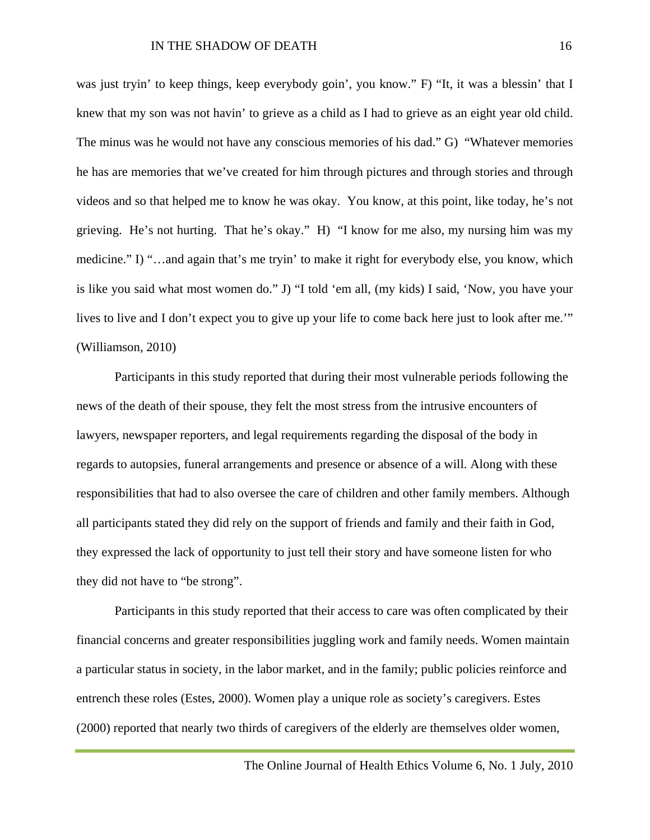was just tryin' to keep things, keep everybody goin', you know." F) "It, it was a blessin' that I knew that my son was not havin' to grieve as a child as I had to grieve as an eight year old child. The minus was he would not have any conscious memories of his dad." G) "Whatever memories he has are memories that we've created for him through pictures and through stories and through videos and so that helped me to know he was okay. You know, at this point, like today, he's not grieving. He's not hurting. That he's okay." H) "I know for me also, my nursing him was my medicine." I) "…and again that's me tryin' to make it right for everybody else, you know, which is like you said what most women do." J) "I told 'em all, (my kids) I said, 'Now, you have your lives to live and I don't expect you to give up your life to come back here just to look after me.'" (Williamson, 2010)

Participants in this study reported that during their most vulnerable periods following the news of the death of their spouse, they felt the most stress from the intrusive encounters of lawyers, newspaper reporters, and legal requirements regarding the disposal of the body in regards to autopsies, funeral arrangements and presence or absence of a will. Along with these responsibilities that had to also oversee the care of children and other family members. Although all participants stated they did rely on the support of friends and family and their faith in God, they expressed the lack of opportunity to just tell their story and have someone listen for who they did not have to "be strong".

Participants in this study reported that their access to care was often complicated by their financial concerns and greater responsibilities juggling work and family needs. Women maintain a particular status in society, in the labor market, and in the family; public policies reinforce and entrench these roles (Estes, 2000). Women play a unique role as society's caregivers. Estes (2000) reported that nearly two thirds of caregivers of the elderly are themselves older women,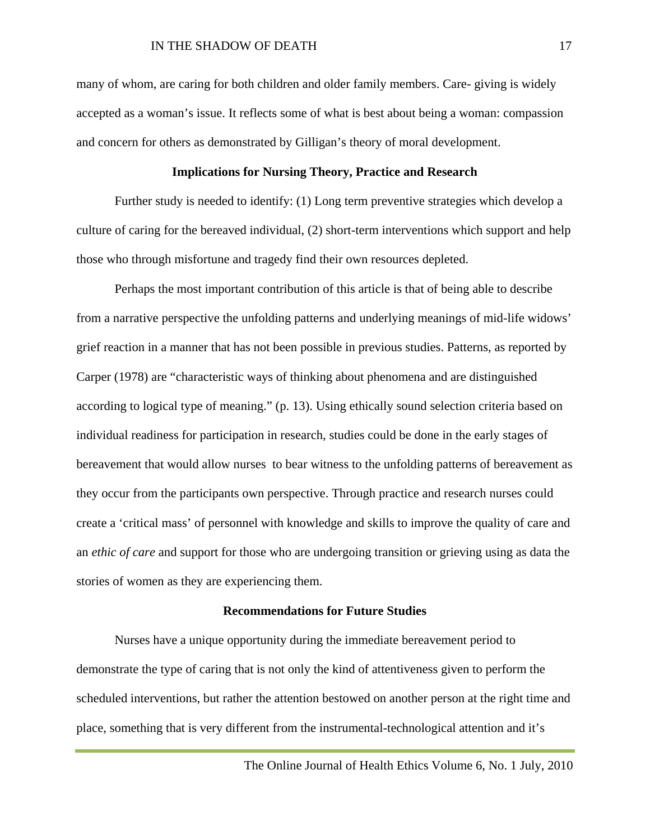many of whom, are caring for both children and older family members. Care- giving is widely accepted as a woman's issue. It reflects some of what is best about being a woman: compassion and concern for others as demonstrated by Gilligan's theory of moral development.

#### **Implications for Nursing Theory, Practice and Research**

Further study is needed to identify: (1) Long term preventive strategies which develop a culture of caring for the bereaved individual, (2) short-term interventions which support and help those who through misfortune and tragedy find their own resources depleted.

Perhaps the most important contribution of this article is that of being able to describe from a narrative perspective the unfolding patterns and underlying meanings of mid-life widows' grief reaction in a manner that has not been possible in previous studies. Patterns, as reported by Carper (1978) are "characteristic ways of thinking about phenomena and are distinguished according to logical type of meaning." (p. 13). Using ethically sound selection criteria based on individual readiness for participation in research, studies could be done in the early stages of bereavement that would allow nurses to bear witness to the unfolding patterns of bereavement as they occur from the participants own perspective. Through practice and research nurses could create a 'critical mass' of personnel with knowledge and skills to improve the quality of care and an *ethic of care* and support for those who are undergoing transition or grieving using as data the stories of women as they are experiencing them.

#### **Recommendations for Future Studies**

Nurses have a unique opportunity during the immediate bereavement period to demonstrate the type of caring that is not only the kind of attentiveness given to perform the scheduled interventions, but rather the attention bestowed on another person at the right time and place, something that is very different from the instrumental-technological attention and it's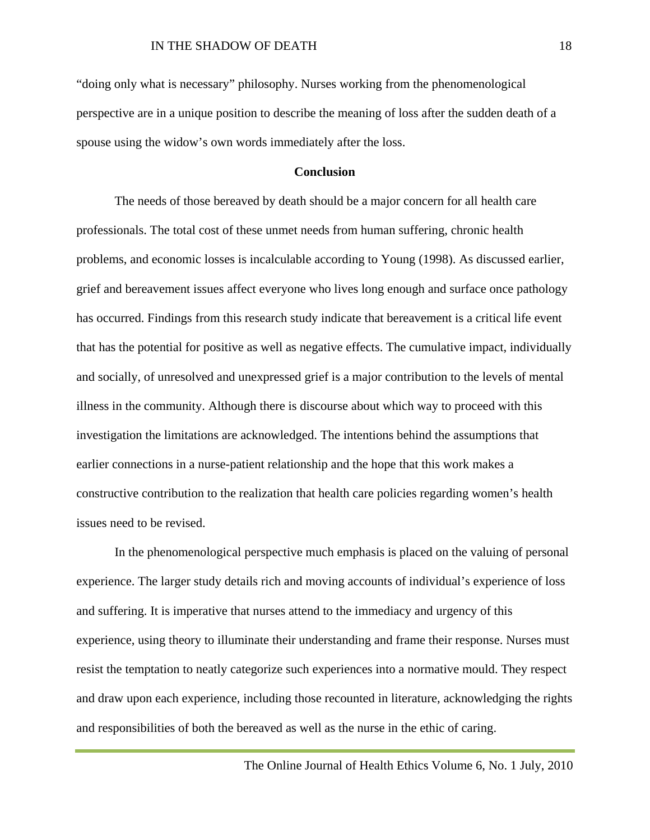"doing only what is necessary" philosophy. Nurses working from the phenomenological perspective are in a unique position to describe the meaning of loss after the sudden death of a spouse using the widow's own words immediately after the loss.

#### **Conclusion**

The needs of those bereaved by death should be a major concern for all health care professionals. The total cost of these unmet needs from human suffering, chronic health problems, and economic losses is incalculable according to Young (1998). As discussed earlier, grief and bereavement issues affect everyone who lives long enough and surface once pathology has occurred. Findings from this research study indicate that bereavement is a critical life event that has the potential for positive as well as negative effects. The cumulative impact, individually and socially, of unresolved and unexpressed grief is a major contribution to the levels of mental illness in the community. Although there is discourse about which way to proceed with this investigation the limitations are acknowledged. The intentions behind the assumptions that earlier connections in a nurse-patient relationship and the hope that this work makes a constructive contribution to the realization that health care policies regarding women's health issues need to be revised.

In the phenomenological perspective much emphasis is placed on the valuing of personal experience. The larger study details rich and moving accounts of individual's experience of loss and suffering. It is imperative that nurses attend to the immediacy and urgency of this experience, using theory to illuminate their understanding and frame their response. Nurses must resist the temptation to neatly categorize such experiences into a normative mould. They respect and draw upon each experience, including those recounted in literature, acknowledging the rights and responsibilities of both the bereaved as well as the nurse in the ethic of caring.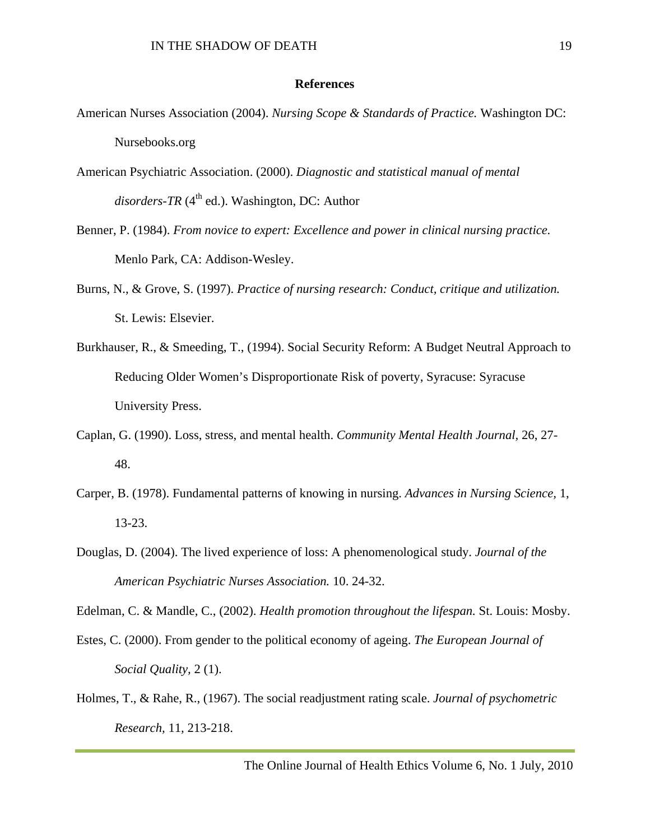#### **References**

- American Nurses Association (2004). *Nursing Scope & Standards of Practice.* Washington DC: Nursebooks.org
- American Psychiatric Association. (2000). *Diagnostic and statistical manual of mental*   $disorders$ - $TR$  ( $4<sup>th</sup>$  ed.). Washington, DC: Author
- Benner, P. (1984). *From novice to expert: Excellence and power in clinical nursing practice.*  Menlo Park, CA: Addison-Wesley.
- Burns, N., & Grove, S. (1997). *Practice of nursing research: Conduct, critique and utilization.*  St. Lewis: Elsevier.
- Burkhauser, R., & Smeeding, T., (1994). Social Security Reform: A Budget Neutral Approach to Reducing Older Women's Disproportionate Risk of poverty, Syracuse: Syracuse University Press.
- Caplan, G. (1990). Loss, stress, and mental health. *Community Mental Health Journal,* 26, 27- 48.
- Carper, B. (1978). Fundamental patterns of knowing in nursing. *Advances in Nursing Science,* 1, 13-23.
- Douglas, D. (2004). The lived experience of loss: A phenomenological study. *Journal of the American Psychiatric Nurses Association.* 10. 24-32.

Edelman, C. & Mandle, C., (2002). *Health promotion throughout the lifespan.* St. Louis: Mosby.

- Estes, C. (2000). From gender to the political economy of ageing. *The European Journal of Social Quality,* 2 (1).
- Holmes, T., & Rahe, R., (1967). The social readjustment rating scale. *Journal of psychometric Research,* 11*,* 213-218.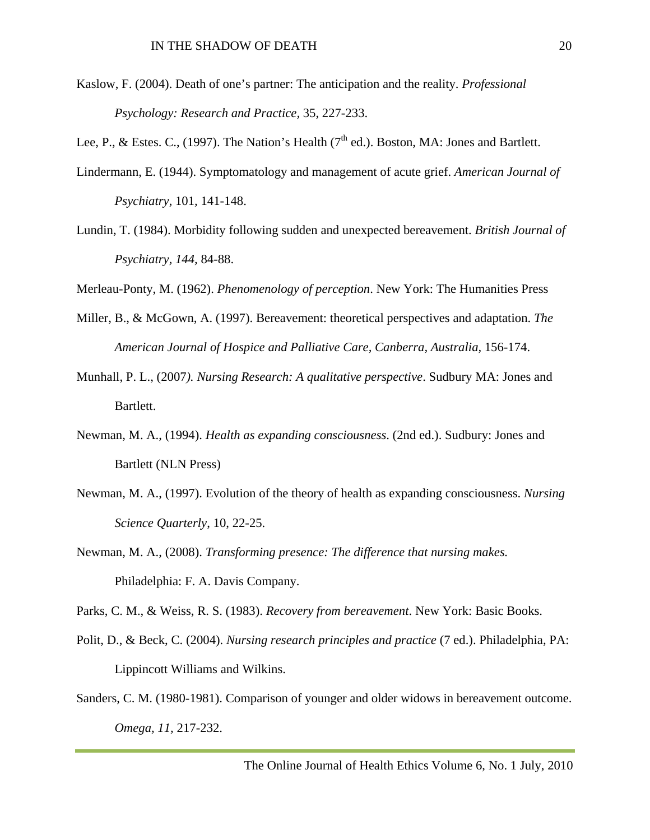- Kaslow, F. (2004). Death of one's partner: The anticipation and the reality. *Professional Psychology: Research and Practice,* 35, 227-233.
- Lee, P., & Estes. C., (1997). The Nation's Health ( $7<sup>th</sup>$  ed.). Boston, MA: Jones and Bartlett.
- Lindermann, E. (1944). Symptomatology and management of acute grief. *American Journal of Psychiatry,* 101*,* 141-148.
- Lundin, T. (1984). Morbidity following sudden and unexpected bereavement. *British Journal of Psychiatry, 144,* 84-88.
- Merleau-Ponty, M. (1962). *Phenomenology of perception*. New York: The Humanities Press
- Miller, B., & McGown, A. (1997). Bereavement: theoretical perspectives and adaptation. *The American Journal of Hospice and Palliative Care, Canberra, Australia,* 156-174.
- Munhall, P. L., (2007*). Nursing Research: A qualitative perspective*. Sudbury MA: Jones and Bartlett.
- Newman, M. A., (1994). *Health as expanding consciousness*. (2nd ed.). Sudbury: Jones and Bartlett (NLN Press)
- Newman, M. A., (1997). Evolution of the theory of health as expanding consciousness. *Nursing Science Quarterly*, 10, 22-25.
- Newman, M. A., (2008). *Transforming presence: The difference that nursing makes.*  Philadelphia: F. A. Davis Company.

Parks, C. M., & Weiss, R. S. (1983). *Recovery from bereavement*. New York: Basic Books.

- Polit, D., & Beck, C. (2004). *Nursing research principles and practice* (7 ed.). Philadelphia, PA: Lippincott Williams and Wilkins.
- Sanders, C. M. (1980-1981). Comparison of younger and older widows in bereavement outcome. *Omega, 11,* 217-232.